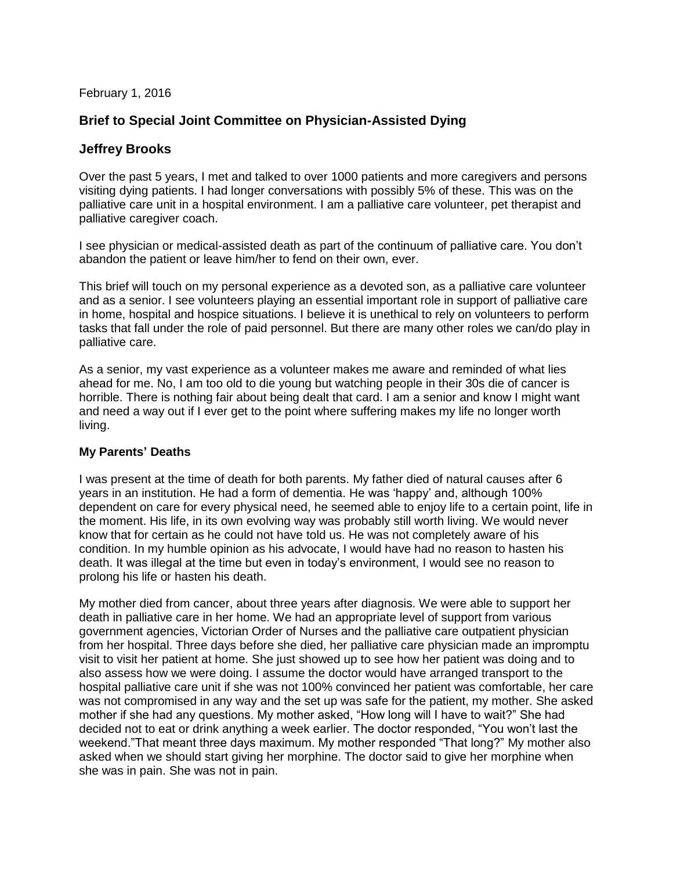February 1, 2016

# **Brief to Special Joint Committee on Physician-Assisted Dying**

## **Jeffrey Brooks**

Over the past 5 years, I met and talked to over 1000 patients and more caregivers and persons visiting dying patients. I had longer conversations with possibly 5% of these. This was on the palliative care unit in a hospital environment. I am a palliative care volunteer, pet therapist and palliative caregiver coach.

I see physician or medical-assisted death as part of the continuum of palliative care. You don't abandon the patient or leave him/her to fend on their own, ever.

This brief will touch on my personal experience as a devoted son, as a palliative care volunteer and as a senior. I see volunteers playing an essential important role in support of palliative care in home, hospital and hospice situations. I believe it is unethical to rely on volunteers to perform tasks that fall under the role of paid personnel. But there are many other roles we can/do play in palliative care.

As a senior, my vast experience as a volunteer makes me aware and reminded of what lies ahead for me. No, I am too old to die young but watching people in their 30s die of cancer is horrible. There is nothing fair about being dealt that card. I am a senior and know I might want and need a way out if I ever get to the point where suffering makes my life no longer worth living.

## **My Parents' Deaths**

I was present at the time of death for both parents. My father died of natural causes after 6 years in an institution. He had a form of dementia. He was 'happy' and, although 100% dependent on care for every physical need, he seemed able to enjoy life to a certain point, life in the moment. His life, in its own evolving way was probably still worth living. We would never know that for certain as he could not have told us. He was not completely aware of his condition. In my humble opinion as his advocate, I would have had no reason to hasten his death. It was illegal at the time but even in today's environment, I would see no reason to prolong his life or hasten his death.

My mother died from cancer, about three years after diagnosis. We were able to support her death in palliative care in her home. We had an appropriate level of support from various government agencies, Victorian Order of Nurses and the palliative care outpatient physician from her hospital. Three days before she died, her palliative care physician made an impromptu visit to visit her patient at home. She just showed up to see how her patient was doing and to also assess how we were doing. I assume the doctor would have arranged transport to the hospital palliative care unit if she was not 100% convinced her patient was comfortable, her care was not compromised in any way and the set up was safe for the patient, my mother. She asked mother if she had any questions. My mother asked, "How long will I have to wait?" She had decided not to eat or drink anything a week earlier. The doctor responded, "You won't last the weekend."That meant three days maximum. My mother responded "That long?" My mother also asked when we should start giving her morphine. The doctor said to give her morphine when she was in pain. She was not in pain.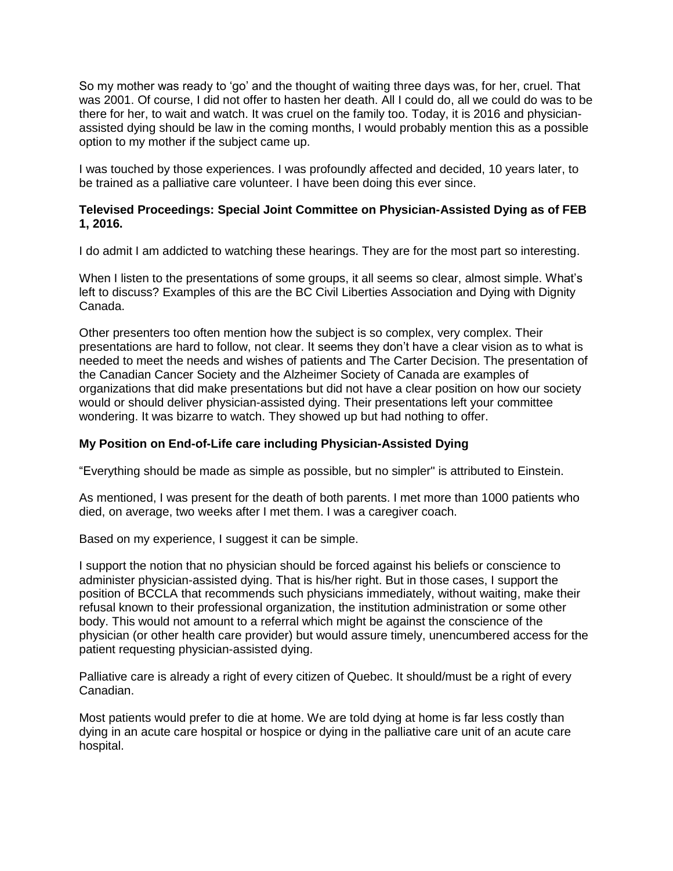So my mother was ready to 'go' and the thought of waiting three days was, for her, cruel. That was 2001. Of course, I did not offer to hasten her death. All I could do, all we could do was to be there for her, to wait and watch. It was cruel on the family too. Today, it is 2016 and physicianassisted dying should be law in the coming months, I would probably mention this as a possible option to my mother if the subject came up.

I was touched by those experiences. I was profoundly affected and decided, 10 years later, to be trained as a palliative care volunteer. I have been doing this ever since.

### **Televised Proceedings: Special Joint Committee on Physician-Assisted Dying as of FEB 1, 2016.**

I do admit I am addicted to watching these hearings. They are for the most part so interesting.

When I listen to the presentations of some groups, it all seems so clear, almost simple. What's left to discuss? Examples of this are the BC Civil Liberties Association and Dying with Dignity Canada.

Other presenters too often mention how the subject is so complex, very complex. Their presentations are hard to follow, not clear. It seems they don't have a clear vision as to what is needed to meet the needs and wishes of patients and The Carter Decision. The presentation of the Canadian Cancer Society and the Alzheimer Society of Canada are examples of organizations that did make presentations but did not have a clear position on how our society would or should deliver physician-assisted dying. Their presentations left your committee wondering. It was bizarre to watch. They showed up but had nothing to offer.

## **My Position on End-of-Life care including Physician-Assisted Dying**

"Everything should be made as simple as possible, but no simpler" is attributed to Einstein.

As mentioned, I was present for the death of both parents. I met more than 1000 patients who died, on average, two weeks after I met them. I was a caregiver coach.

Based on my experience, I suggest it can be simple.

I support the notion that no physician should be forced against his beliefs or conscience to administer physician-assisted dying. That is his/her right. But in those cases, I support the position of BCCLA that recommends such physicians immediately, without waiting, make their refusal known to their professional organization, the institution administration or some other body. This would not amount to a referral which might be against the conscience of the physician (or other health care provider) but would assure timely, unencumbered access for the patient requesting physician-assisted dying.

Palliative care is already a right of every citizen of Quebec. It should/must be a right of every Canadian.

Most patients would prefer to die at home. We are told dying at home is far less costly than dying in an acute care hospital or hospice or dying in the palliative care unit of an acute care hospital.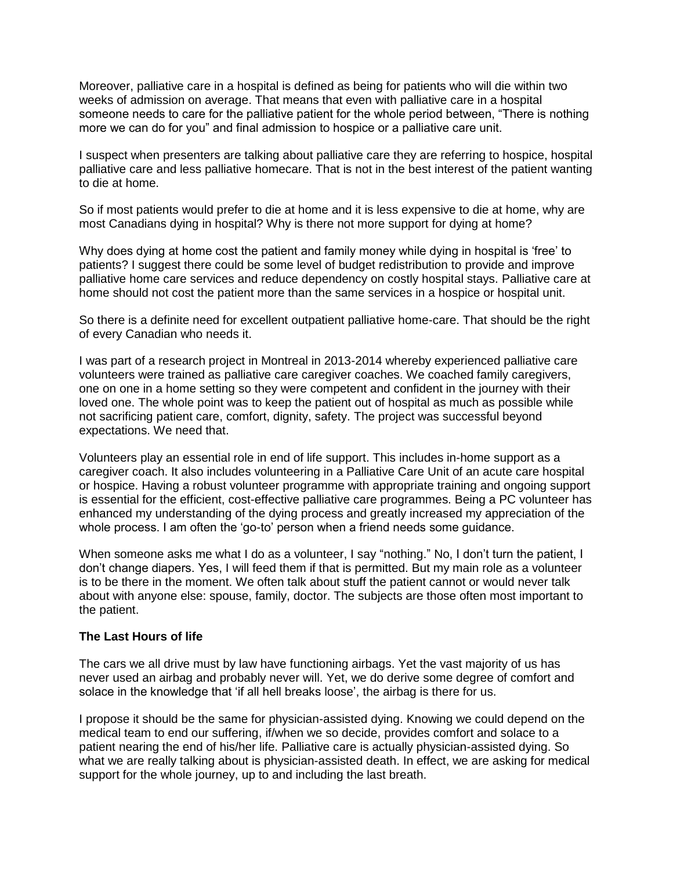Moreover, palliative care in a hospital is defined as being for patients who will die within two weeks of admission on average. That means that even with palliative care in a hospital someone needs to care for the palliative patient for the whole period between, "There is nothing more we can do for you" and final admission to hospice or a palliative care unit.

I suspect when presenters are talking about palliative care they are referring to hospice, hospital palliative care and less palliative homecare. That is not in the best interest of the patient wanting to die at home.

So if most patients would prefer to die at home and it is less expensive to die at home, why are most Canadians dying in hospital? Why is there not more support for dying at home?

Why does dying at home cost the patient and family money while dying in hospital is 'free' to patients? I suggest there could be some level of budget redistribution to provide and improve palliative home care services and reduce dependency on costly hospital stays. Palliative care at home should not cost the patient more than the same services in a hospice or hospital unit.

So there is a definite need for excellent outpatient palliative home-care. That should be the right of every Canadian who needs it.

I was part of a research project in Montreal in 2013-2014 whereby experienced palliative care volunteers were trained as palliative care caregiver coaches. We coached family caregivers, one on one in a home setting so they were competent and confident in the journey with their loved one. The whole point was to keep the patient out of hospital as much as possible while not sacrificing patient care, comfort, dignity, safety. The project was successful beyond expectations. We need that.

Volunteers play an essential role in end of life support. This includes in-home support as a caregiver coach. It also includes volunteering in a Palliative Care Unit of an acute care hospital or hospice. Having a robust volunteer programme with appropriate training and ongoing support is essential for the efficient, cost-effective palliative care programmes. Being a PC volunteer has enhanced my understanding of the dying process and greatly increased my appreciation of the whole process. I am often the 'go-to' person when a friend needs some guidance.

When someone asks me what I do as a volunteer, I say "nothing." No, I don't turn the patient, I don't change diapers. Yes, I will feed them if that is permitted. But my main role as a volunteer is to be there in the moment. We often talk about stuff the patient cannot or would never talk about with anyone else: spouse, family, doctor. The subjects are those often most important to the patient.

#### **The Last Hours of life**

The cars we all drive must by law have functioning airbags. Yet the vast majority of us has never used an airbag and probably never will. Yet, we do derive some degree of comfort and solace in the knowledge that 'if all hell breaks loose', the airbag is there for us.

I propose it should be the same for physician-assisted dying. Knowing we could depend on the medical team to end our suffering, if/when we so decide, provides comfort and solace to a patient nearing the end of his/her life. Palliative care is actually physician-assisted dying. So what we are really talking about is physician-assisted death. In effect, we are asking for medical support for the whole journey, up to and including the last breath.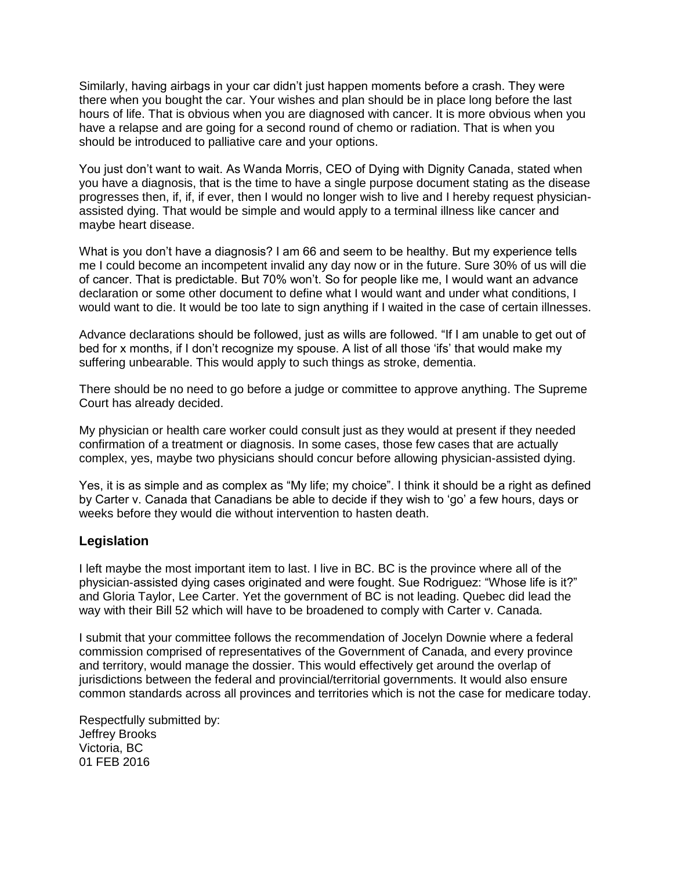Similarly, having airbags in your car didn't just happen moments before a crash. They were there when you bought the car. Your wishes and plan should be in place long before the last hours of life. That is obvious when you are diagnosed with cancer. It is more obvious when you have a relapse and are going for a second round of chemo or radiation. That is when you should be introduced to palliative care and your options.

You just don't want to wait. As Wanda Morris, CEO of Dying with Dignity Canada, stated when you have a diagnosis, that is the time to have a single purpose document stating as the disease progresses then, if, if, if ever, then I would no longer wish to live and I hereby request physicianassisted dying. That would be simple and would apply to a terminal illness like cancer and maybe heart disease.

What is you don't have a diagnosis? I am 66 and seem to be healthy. But my experience tells me I could become an incompetent invalid any day now or in the future. Sure 30% of us will die of cancer. That is predictable. But 70% won't. So for people like me, I would want an advance declaration or some other document to define what I would want and under what conditions, I would want to die. It would be too late to sign anything if I waited in the case of certain illnesses.

Advance declarations should be followed, just as wills are followed. "If I am unable to get out of bed for x months, if I don't recognize my spouse. A list of all those 'ifs' that would make my suffering unbearable. This would apply to such things as stroke, dementia.

There should be no need to go before a judge or committee to approve anything. The Supreme Court has already decided.

My physician or health care worker could consult just as they would at present if they needed confirmation of a treatment or diagnosis. In some cases, those few cases that are actually complex, yes, maybe two physicians should concur before allowing physician-assisted dying.

Yes, it is as simple and as complex as "My life; my choice". I think it should be a right as defined by Carter v. Canada that Canadians be able to decide if they wish to 'go' a few hours, days or weeks before they would die without intervention to hasten death.

# **Legislation**

I left maybe the most important item to last. I live in BC. BC is the province where all of the physician-assisted dying cases originated and were fought. Sue Rodriguez: "Whose life is it?" and Gloria Taylor, Lee Carter. Yet the government of BC is not leading. Quebec did lead the way with their Bill 52 which will have to be broadened to comply with Carter v. Canada.

I submit that your committee follows the recommendation of Jocelyn Downie where a federal commission comprised of representatives of the Government of Canada, and every province and territory, would manage the dossier. This would effectively get around the overlap of jurisdictions between the federal and provincial/territorial governments. It would also ensure common standards across all provinces and territories which is not the case for medicare today.

Respectfully submitted by: Jeffrey Brooks Victoria, BC 01 FEB 2016